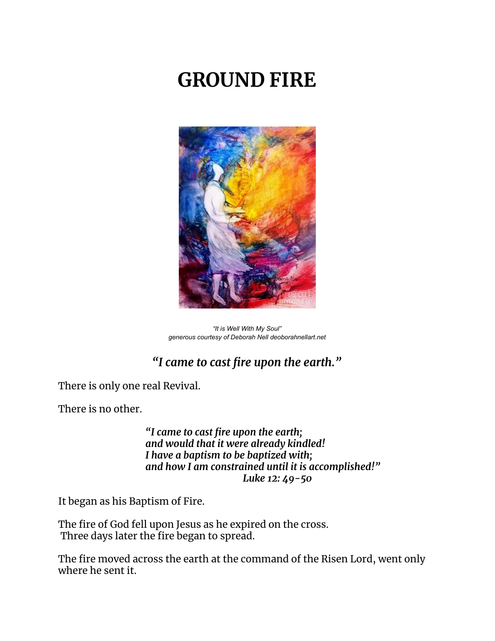# **GROUND FIRE**



*"It is Well With My Soul" generous courtesy of Deborah Nell deoborahnellart.net*

## *"I came to cast fire upon the earth."*

There is only one real Revival.

There is no other.

*"I came to cast fire upon the earth; and would that it were already kindled! I have a baptism to be baptized with; and how I am constrained until it is accomplished!" Luke 12: 49-50*

It began as his Baptism of Fire.

The fire of God fell upon Jesus as he expired on the cross. Three days later the fire began to spread.

The fire moved across the earth at the command of the Risen Lord, went only where he sent it.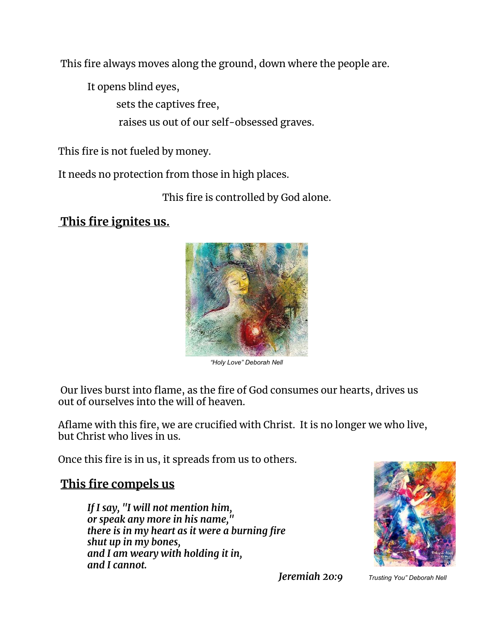This fire always moves along the ground, down where the people are.

It opens blind eyes,

sets the captives free,

raises us out of our self-obsessed graves.

This fire is not fueled by money.

It needs no protection from those in high places.

This fire is controlled by God alone.

### **This fire ignites us.**



*"Holy Love" Deborah Nell*

Our lives burst into flame, as the fire of God consumes our hearts, drives us out of ourselves into the will of heaven.

Aflame with this fire, we are crucified with Christ. It is no longer we who live, but Christ who lives in us.

Once this fire is in us, it spreads from us to others.

#### **This fire compels us**

*If I say, "I will not mention him, or speak any more in his name," there is in my heart as it were a burning fire shut up in my bones, and I am weary with holding it in, and I cannot.*



*Jeremiah 20:9 Trusting You" Deborah Nell*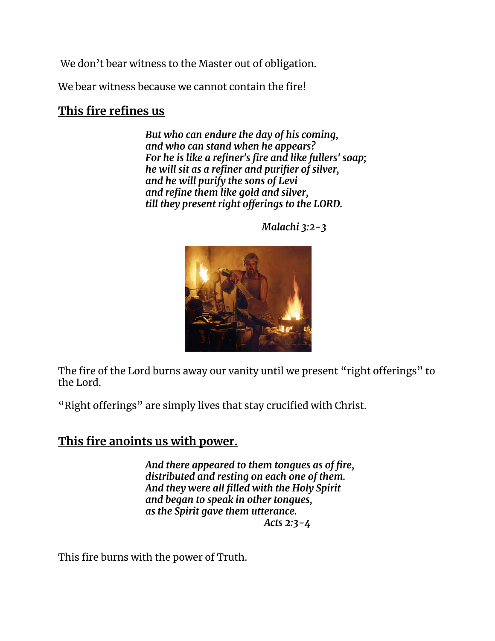We don't bear witness to the Master out of obligation.

We bear witness because we cannot contain the fire!

#### **This fire refines us**

*But who can endure the day of his coming, and who can stand when he appears? For he is like a refiner's fire and like fullers' soap; he will sit as a refiner and purifier of silver, and he will purify the sons of Levi and refine them like gold and silver, till they present right offerings to the LORD.*



*Malachi 3:2-3*

The fire of the Lord burns away our vanity until we present "right offerings" to the Lord.

"Right offerings" are simply lives that stay crucified with Christ.

#### **This fire anoints us with power.**

*And there appeared to them tongues as of fire, distributed and resting on each one of them. And they were all filled with the Holy Spirit and began to speak in other tongues, as the Spirit gave them utterance. Acts 2:3-4*

This fire burns with the power of Truth.